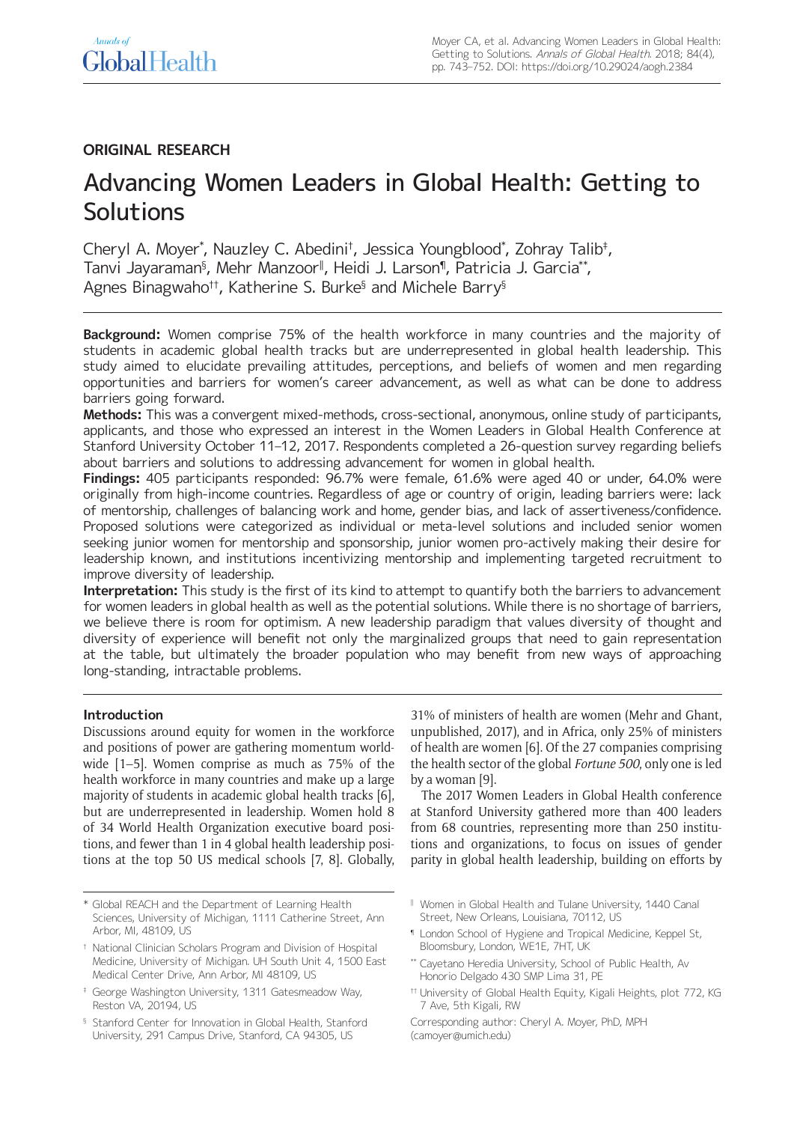# **ORIGINAL RESEARCH**

# Advancing Women Leaders in Global Health: Getting to Solutions

Cheryl A. Moyer\*, Nauzley C. Abedini†, Jessica Youngblood\*, Zohray Talib‡, Tanvi Jayaraman§ , Mehr Manzoor‖ , Heidi J. Larson¶, Patricia J. Garcia\*\*, Agnes Binagwaho††, Katherine S. Burke§ and Michele Barry§

**Background:** Women comprise 75% of the health workforce in many countries and the majority of students in academic global health tracks but are underrepresented in global health leadership. This study aimed to elucidate prevailing attitudes, perceptions, and beliefs of women and men regarding opportunities and barriers for women's career advancement, as well as what can be done to address barriers going forward.

**Methods:** This was a convergent mixed-methods, cross-sectional, anonymous, online study of participants, applicants, and those who expressed an interest in the Women Leaders in Global Health Conference at Stanford University October 11–12, 2017. Respondents completed a 26-question survey regarding beliefs about barriers and solutions to addressing advancement for women in global health.

**Findings:** 405 participants responded: 96.7% were female, 61.6% were aged 40 or under, 64.0% were originally from high-income countries. Regardless of age or country of origin, leading barriers were: lack of mentorship, challenges of balancing work and home, gender bias, and lack of assertiveness/confidence. Proposed solutions were categorized as individual or meta-level solutions and included senior women seeking junior women for mentorship and sponsorship, junior women pro-actively making their desire for leadership known, and institutions incentivizing mentorship and implementing targeted recruitment to improve diversity of leadership.

**Interpretation:** This study is the first of its kind to attempt to quantify both the barriers to advancement for women leaders in global health as well as the potential solutions. While there is no shortage of barriers, we believe there is room for optimism. A new leadership paradigm that values diversity of thought and diversity of experience will benefit not only the marginalized groups that need to gain representation at the table, but ultimately the broader population who may benefit from new ways of approaching long-standing, intractable problems.

# **Introduction**

Discussions around equity for women in the workforce and positions of power are gathering momentum worldwide [1–5]. Women comprise as much as 75% of the health workforce in many countries and make up a large majority of students in academic global health tracks [6], but are underrepresented in leadership. Women hold 8 of 34 World Health Organization executive board positions, and fewer than 1 in 4 global health leadership positions at the top 50 US medical schools [7, 8]. Globally, 31% of ministers of health are women (Mehr and Ghant, unpublished, 2017), and in Africa, only 25% of ministers of health are women [6]. Of the 27 companies comprising the health sector of the global *Fortune 500*, only one is led by a woman [9].

The 2017 Women Leaders in Global Health conference at Stanford University gathered more than 400 leaders from 68 countries, representing more than 250 institutions and organizations, to focus on issues of gender parity in global health leadership, building on efforts by

- ‖ Women in Global Health and Tulane University, 1440 Canal Street, New Orleans, Louisiana, 70112, US
- ¶ London School of Hygiene and Tropical Medicine, Keppel St, Bloomsbury, London, WE1E, 7HT, UK
- \*\* Cayetano Heredia University, School of Public Health, Av Honorio Delgado 430 SMP Lima 31, PE
- <sup>#</sup> University of Global Health Equity, Kigali Heights, plot 772, KG 7 Ave, 5th Kigali, RW

<sup>\*</sup> Global REACH and the Department of Learning Health Sciences, University of Michigan, 1111 Catherine Street, Ann Arbor, MI, 48109, US

<sup>†</sup> National Clinician Scholars Program and Division of Hospital Medicine, University of Michigan. UH South Unit 4, 1500 East Medical Center Drive, Ann Arbor, MI 48109, US

<sup>‡</sup> George Washington University, 1311 Gatesmeadow Way, Reston VA, 20194, US

<sup>§</sup> Stanford Center for Innovation in Global Health, Stanford University, 291 Campus Drive, Stanford, CA 94305, US

Corresponding author: Cheryl A. Moyer, PhD, MPH [\(camoyer@umich.edu](mailto:camoyer@umich.edu))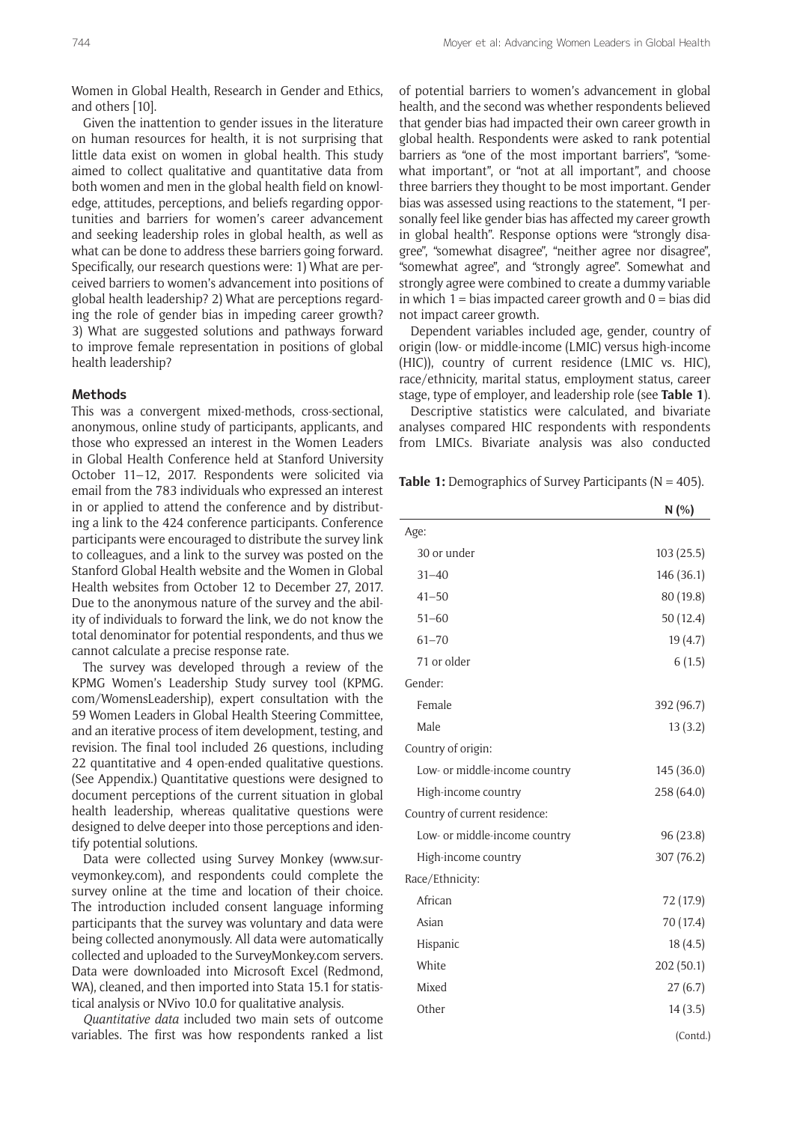Women in Global Health, Research in Gender and Ethics, and others [10].

Given the inattention to gender issues in the literature on human resources for health, it is not surprising that little data exist on women in global health. This study aimed to collect qualitative and quantitative data from both women and men in the global health field on knowledge, attitudes, perceptions, and beliefs regarding opportunities and barriers for women's career advancement and seeking leadership roles in global health, as well as what can be done to address these barriers going forward. Specifically, our research questions were: 1) What are perceived barriers to women's advancement into positions of global health leadership? 2) What are perceptions regarding the role of gender bias in impeding career growth? 3) What are suggested solutions and pathways forward to improve female representation in positions of global health leadership?

#### **Methods**

This was a convergent mixed-methods, cross-sectional, anonymous, online study of participants, applicants, and those who expressed an interest in the Women Leaders in Global Health Conference held at Stanford University October 11–12, 2017. Respondents were solicited via email from the 783 individuals who expressed an interest in or applied to attend the conference and by distributing a link to the 424 conference participants. Conference participants were encouraged to distribute the survey link to colleagues, and a link to the survey was posted on the Stanford Global Health website and the Women in Global Health websites from October 12 to December 27, 2017. Due to the anonymous nature of the survey and the ability of individuals to forward the link, we do not know the total denominator for potential respondents, and thus we cannot calculate a precise response rate.

The survey was developed through a review of the KPMG Women's Leadership Study survey tool [\(KPMG.](https://womensleadership.kpmg.us/) [com/WomensLeadership](https://womensleadership.kpmg.us/)), expert consultation with the 59 Women Leaders in Global Health Steering Committee, and an iterative process of item development, testing, and revision. The final tool included 26 questions, including 22 quantitative and 4 open-ended qualitative questions. (See Appendix.) Quantitative questions were designed to document perceptions of the current situation in global health leadership, whereas qualitative questions were designed to delve deeper into those perceptions and identify potential solutions.

Data were collected using Survey Monkey [\(www.sur](https://www.surveymonkey.com)[veymonkey.com\)](https://www.surveymonkey.com), and respondents could complete the survey online at the time and location of their choice. The introduction included consent language informing participants that the survey was voluntary and data were being collected anonymously. All data were automatically collected and uploaded to the [SurveyMonkey.com](https://www.surveymonkey.com) servers. Data were downloaded into Microsoft Excel (Redmond, WA), cleaned, and then imported into Stata 15.1 for statistical analysis or NVivo 10.0 for qualitative analysis.

*Quantitative data* included two main sets of outcome variables. The first was how respondents ranked a list of potential barriers to women's advancement in global health, and the second was whether respondents believed that gender bias had impacted their own career growth in global health. Respondents were asked to rank potential barriers as "one of the most important barriers", "somewhat important", or "not at all important", and choose three barriers they thought to be most important. Gender bias was assessed using reactions to the statement, "I personally feel like gender bias has affected my career growth in global health". Response options were "strongly disagree", "somewhat disagree", "neither agree nor disagree", "somewhat agree", and "strongly agree". Somewhat and strongly agree were combined to create a dummy variable in which  $1 = \text{bias}$  impacted career growth and  $0 = \text{bias}$  did not impact career growth.

Dependent variables included age, gender, country of origin (low- or middle-income (LMIC) versus high-income (HIC)), country of current residence (LMIC vs. HIC), race/ethnicity, marital status, employment status, career stage, type of employer, and leadership role (see **Table 1**).

Descriptive statistics were calculated, and bivariate analyses compared HIC respondents with respondents from LMICs. Bivariate analysis was also conducted

**Table 1:** Demographics of Survey Participants (N = 405).

|                               | N(%)       |
|-------------------------------|------------|
| Age:                          |            |
| 30 or under                   | 103(25.5)  |
| $31 - 40$                     | 146 (36.1) |
| $41 - 50$                     | 80 (19.8)  |
| $51 - 60$                     | 50 (12.4)  |
| $61 - 70$                     | 19 (4.7)   |
| 71 or older                   | 6(1.5)     |
| Gender:                       |            |
| Female                        | 392 (96.7) |
| Male                          | 13(3.2)    |
| Country of origin:            |            |
| Low- or middle-income country | 145 (36.0) |
| High-income country           | 258 (64.0) |
| Country of current residence: |            |
| Low- or middle-income country | 96 (23.8)  |
| High-income country           | 307 (76.2) |
| Race/Ethnicity:               |            |
| African                       | 72 (17.9)  |
| Asian                         | 70 (17.4)  |
| Hispanic                      | 18(4.5)    |
| White                         | 202 (50.1) |
| Mixed                         | 27(6.7)    |
| Other                         | 14(3.5)    |
|                               | (Contd.)   |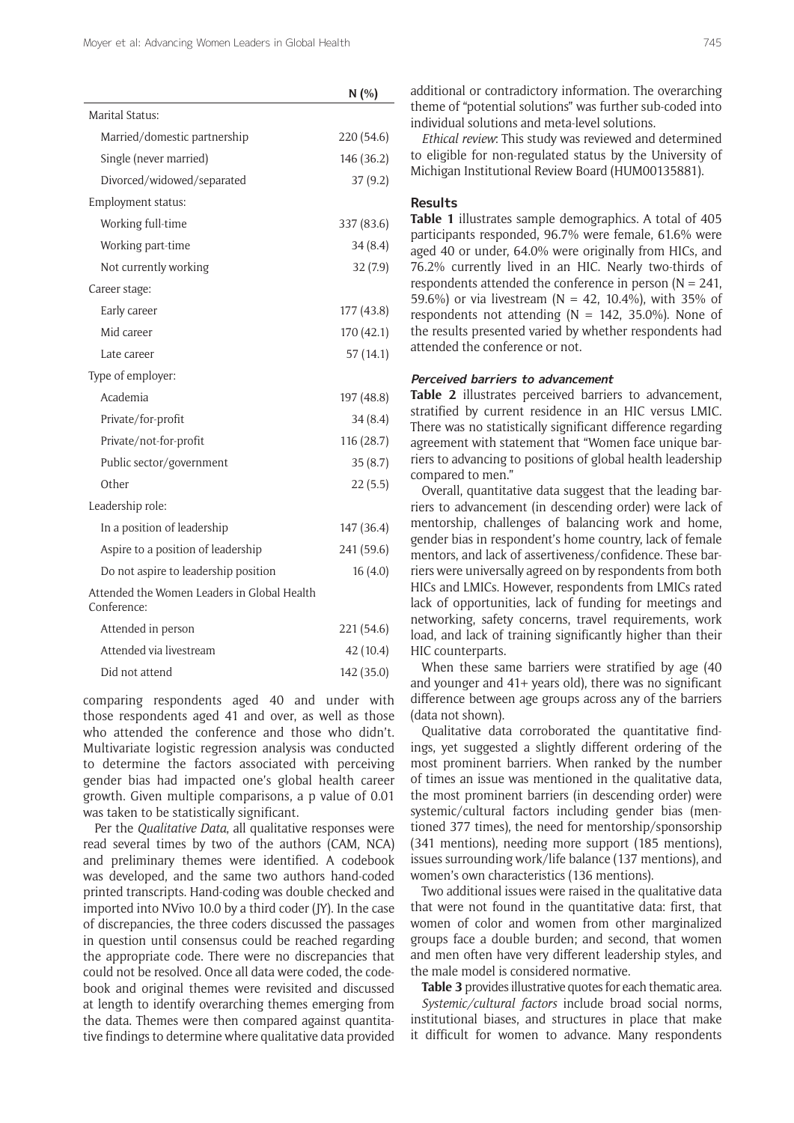|                                                            | N(%        |
|------------------------------------------------------------|------------|
| Marital Status:                                            |            |
| Married/domestic partnership                               | 220 (54.6) |
| Single (never married)                                     | 146 (36.2) |
| Divorced/widowed/separated                                 | 37(9.2)    |
| Employment status:                                         |            |
| Working full-time                                          | 337 (83.6) |
| Working part-time                                          | 34 (8.4)   |
| Not currently working                                      | 32(7.9)    |
| Career stage:                                              |            |
| Early career                                               | 177 (43.8) |
| Mid career                                                 | 170 (42.1) |
| Late career                                                | 57 (14.1)  |
| Type of employer:                                          |            |
| Academia                                                   | 197 (48.8) |
| Private/for-profit                                         | 34 (8.4)   |
| Private/not-for-profit                                     | 116(28.7)  |
| Public sector/government                                   | 35 (8.7)   |
| Other                                                      | 22(5.5)    |
| Leadership role:                                           |            |
| In a position of leadership                                | 147 (36.4) |
| Aspire to a position of leadership                         | 241 (59.6) |
| Do not aspire to leadership position                       | 16(4.0)    |
| Attended the Women Leaders in Global Health<br>Conference: |            |
| Attended in person                                         | 221 (54.6) |
| Attended via livestream                                    | 42 (10.4)  |

Did not attend 142 (35.0)

comparing respondents aged 40 and under with those respondents aged 41 and over, as well as those who attended the conference and those who didn't. Multivariate logistic regression analysis was conducted to determine the factors associated with perceiving gender bias had impacted one's global health career growth. Given multiple comparisons, a p value of 0.01 was taken to be statistically significant.

Per the *Qualitative Data*, all qualitative responses were read several times by two of the authors (CAM, NCA) and preliminary themes were identified. A codebook was developed, and the same two authors hand-coded printed transcripts. Hand-coding was double checked and imported into NVivo 10.0 by a third coder (JY). In the case of discrepancies, the three coders discussed the passages in question until consensus could be reached regarding the appropriate code. There were no discrepancies that could not be resolved. Once all data were coded, the codebook and original themes were revisited and discussed at length to identify overarching themes emerging from the data. Themes were then compared against quantitative findings to determine where qualitative data provided additional or contradictory information. The overarching theme of "potential solutions" was further sub-coded into individual solutions and meta-level solutions.

*Ethical review*: This study was reviewed and determined to eligible for non-regulated status by the University of Michigan Institutional Review Board (HUM00135881).

# **Results**

**Table 1** illustrates sample demographics. A total of 405 participants responded, 96.7% were female, 61.6% were aged 40 or under, 64.0% were originally from HICs, and 76.2% currently lived in an HIC. Nearly two-thirds of respondents attended the conference in person ( $N = 241$ , 59.6%) or via livestream (N = 42, 10.4%), with 35% of respondents not attending ( $N = 142$ , 35.0%). None of the results presented varied by whether respondents had attended the conference or not.

# **Perceived barriers to advancement**

**Table 2** illustrates perceived barriers to advancement, stratified by current residence in an HIC versus LMIC. There was no statistically significant difference regarding agreement with statement that "Women face unique barriers to advancing to positions of global health leadership compared to men."

Overall, quantitative data suggest that the leading barriers to advancement (in descending order) were lack of mentorship, challenges of balancing work and home, gender bias in respondent's home country, lack of female mentors, and lack of assertiveness/confidence. These barriers were universally agreed on by respondents from both HICs and LMICs. However, respondents from LMICs rated lack of opportunities, lack of funding for meetings and networking, safety concerns, travel requirements, work load, and lack of training significantly higher than their HIC counterparts.

When these same barriers were stratified by age (40 and younger and 41+ years old), there was no significant difference between age groups across any of the barriers (data not shown).

Qualitative data corroborated the quantitative findings, yet suggested a slightly different ordering of the most prominent barriers. When ranked by the number of times an issue was mentioned in the qualitative data, the most prominent barriers (in descending order) were systemic/cultural factors including gender bias (mentioned 377 times), the need for mentorship/sponsorship (341 mentions), needing more support (185 mentions), issues surrounding work/life balance (137 mentions), and women's own characteristics (136 mentions).

Two additional issues were raised in the qualitative data that were not found in the quantitative data: first, that women of color and women from other marginalized groups face a double burden; and second, that women and men often have very different leadership styles, and the male model is considered normative.

**Table 3** provides illustrative quotes for each thematic area. *Systemic/cultural factors* include broad social norms, institutional biases, and structures in place that make it difficult for women to advance. Many respondents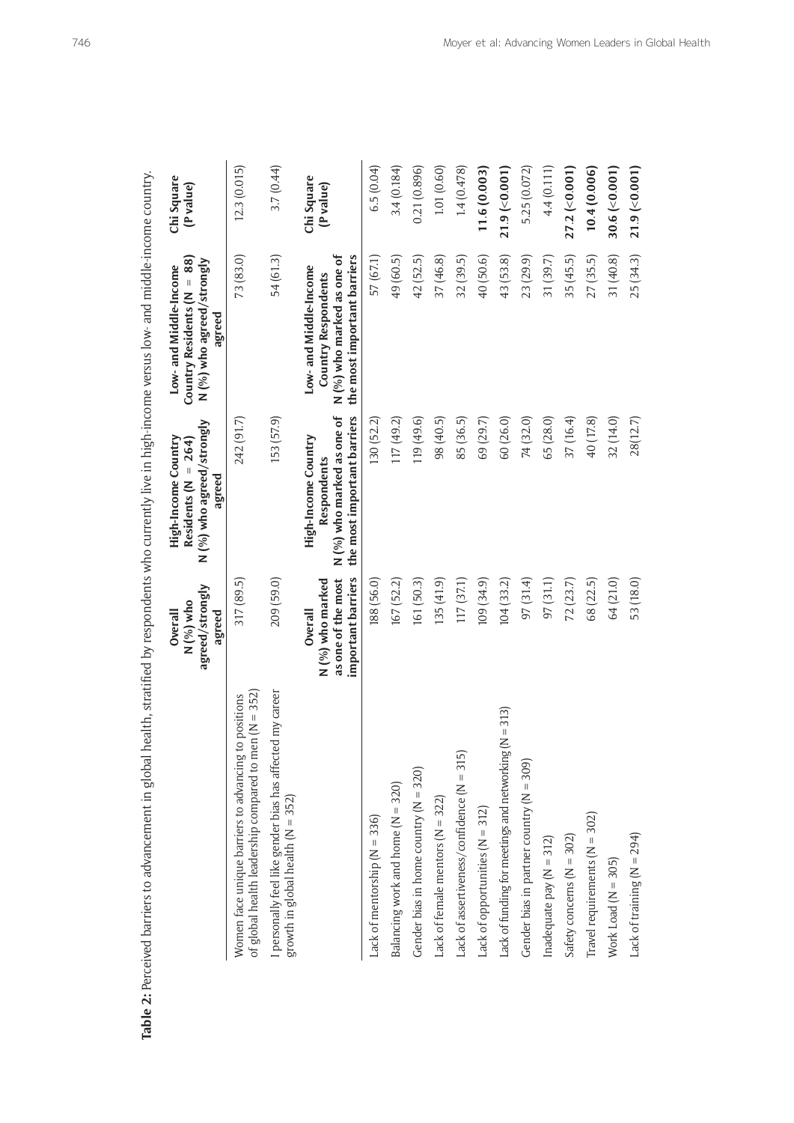| <b>Table 2:</b> Perceived barriers to advancement in global health, stratified by respondents who currently live in high-income versus low- and middle-income country. |                                                                         |                                                                                                 |                                                                                                            |                         |
|------------------------------------------------------------------------------------------------------------------------------------------------------------------------|-------------------------------------------------------------------------|-------------------------------------------------------------------------------------------------|------------------------------------------------------------------------------------------------------------|-------------------------|
|                                                                                                                                                                        | agreed/strongly<br>N (%) who<br>Overall<br>agreed                       | N (%) who agreed/strongly<br>High-Income Country<br>Residents ( $N = 264$ )<br>agreed           | Country Residents ( $N = 88$ )<br>N (%) who agreed/strongly<br>Low- and Middle-Income<br>agreed            | Chi Square<br>(P value) |
| of global health leadership compared to men ( $N = 352$ )<br>Women face unique barriers to advancing to positions                                                      | 317 (89.5)                                                              | 242 (91.7)                                                                                      | 73 (83.0)                                                                                                  | 12.3(0.015)             |
| I personally feel like gender bias has affected my career<br>growth in global health (N = 352)                                                                         | 209 (59.0)                                                              | 153 (57.9)                                                                                      | 54 (61.3)                                                                                                  | 3.7(0.44)               |
|                                                                                                                                                                        | important barriers<br>as one of the most<br>N (%) who marked<br>Overall | the most important barriers<br>N (%) who marked as one of<br>High-Income Country<br>Respondents | N (%) who marked as one of<br>the most important barriers<br>Low- and Middle-Income<br>Country Respondents | Chi Square<br>(P value) |
| Lack of mentorship $(N = 336)$                                                                                                                                         | 188 (56.0)                                                              | 130 (52.2)                                                                                      | 57 (67.1)                                                                                                  | 6.5(0.04)               |
| Balancing work and home (N = 320)                                                                                                                                      | 167 (52.2)                                                              | 117 (49.2)                                                                                      | 49 (60.5)                                                                                                  | 3.4(0.184)              |
| Gender bias in home country $(N = 320)$                                                                                                                                | 161 (50.3)                                                              | 119 (49.6)                                                                                      | 42 (52.5)                                                                                                  | 0.21(0.896)             |
| Lack of female mentors ( $N = 322$ )                                                                                                                                   | 135(41.9)                                                               | 98 (40.5)                                                                                       | 37 (46.8)                                                                                                  | 1.01(0.60)              |
| Lack of assertiveness/confidence $(N = 315)$                                                                                                                           | 117 (37.1)                                                              | 85 (36.5)                                                                                       | 32 (39.5)                                                                                                  | 1.4(0.478)              |
| Lack of opportunities ( $N = 312$ )                                                                                                                                    | 109(34.9)                                                               | 69 (29.7)                                                                                       | 40 (50.6)                                                                                                  | 11.6(0.003)             |
| Lack of funding for meetings and networking (N = 313)                                                                                                                  | 104(33.2)                                                               | 60 (26.0)                                                                                       | 43 (53.8)                                                                                                  | $21.9$ (<0.001)         |
| Gender bias in partner country (N = 309)                                                                                                                               | 97(31.4)                                                                | 74 (32.0)                                                                                       | 23 (29.9)                                                                                                  | 5.25 (0.072)            |
| Inadequate pay $(N = 312)$                                                                                                                                             | 97(31.1)                                                                | 65 (28.0)                                                                                       | 31 (39.7)                                                                                                  | 4.4(0.111)              |
| Safety concerns ( $N = 302$ )                                                                                                                                          | 72(23.7)                                                                | 37 (16.4)                                                                                       | 35(45.5)                                                                                                   | $27.2$ (<0.001)         |
| Travel requirements $(N = 302)$                                                                                                                                        | 68 (22.5)                                                               | 40 (17.8)                                                                                       | 27 (35.5)                                                                                                  | 10.4(0.006)             |
| Work Load ( $N = 305$ )                                                                                                                                                | 64 (21.0)                                                               | 32(14.0)                                                                                        | 31 (40.8)                                                                                                  | $30.6$ (< $0.001$ )     |
| Lack of training $(N = 294)$                                                                                                                                           | 53 (18.0)                                                               | 28(12.7)                                                                                        | 25 (34.3)                                                                                                  | $21.9$ (<0.001)         |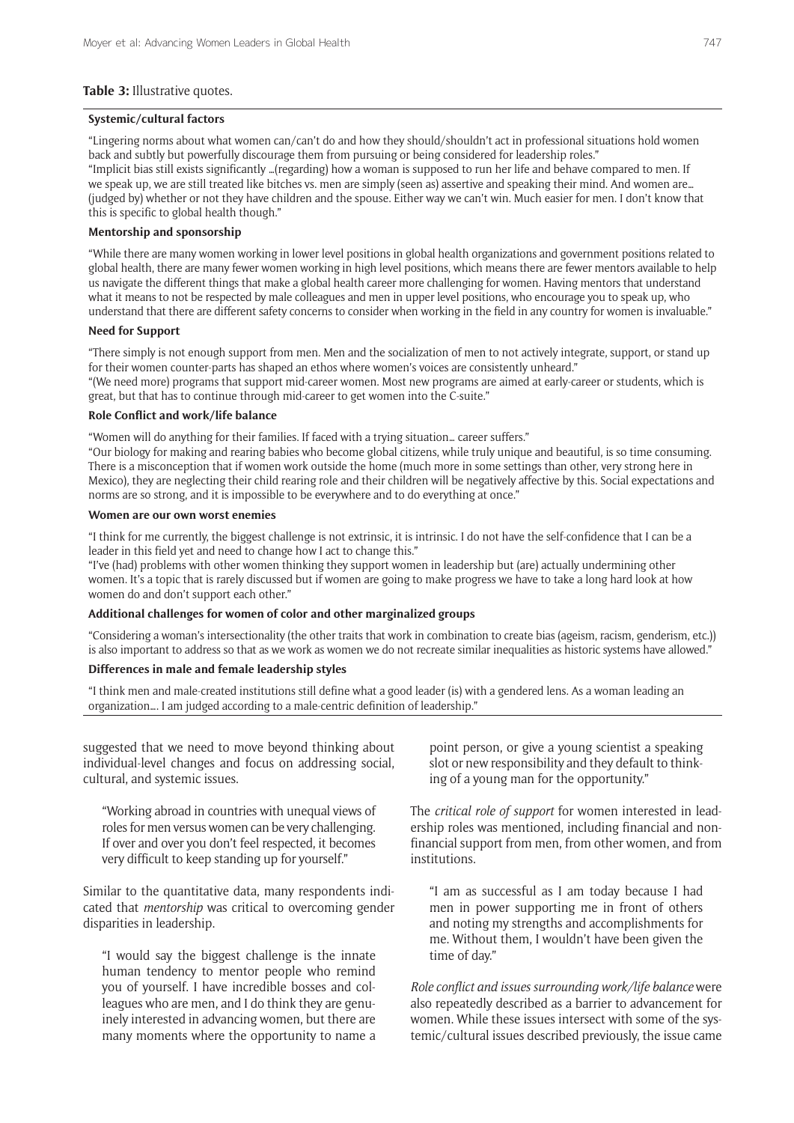#### **Table 3:** Illustrative quotes.

#### **Systemic/cultural factors**

"Lingering norms about what women can/can't do and how they should/shouldn't act in professional situations hold women back and subtly but powerfully discourage them from pursuing or being considered for leadership roles." "Implicit bias still exists significantly …(regarding) how a woman is supposed to run her life and behave compared to men. If we speak up, we are still treated like bitches vs. men are simply (seen as) assertive and speaking their mind. And women are… (judged by) whether or not they have children and the spouse. Either way we can't win. Much easier for men. I don't know that

this is specific to global health though."

# **Mentorship and sponsorship**

"While there are many women working in lower level positions in global health organizations and government positions related to global health, there are many fewer women working in high level positions, which means there are fewer mentors available to help us navigate the different things that make a global health career more challenging for women. Having mentors that understand what it means to not be respected by male colleagues and men in upper level positions, who encourage you to speak up, who understand that there are different safety concerns to consider when working in the field in any country for women is invaluable."

#### **Need for Support**

"There simply is not enough support from men. Men and the socialization of men to not actively integrate, support, or stand up for their women counter-parts has shaped an ethos where women's voices are consistently unheard."

"(We need more) programs that support mid-career women. Most new programs are aimed at early-career or students, which is great, but that has to continue through mid-career to get women into the C-suite."

#### **Role Conflict and work/life balance**

"Women will do anything for their families. If faced with a trying situation… career suffers."

"Our biology for making and rearing babies who become global citizens, while truly unique and beautiful, is so time consuming. There is a misconception that if women work outside the home (much more in some settings than other, very strong here in Mexico), they are neglecting their child rearing role and their children will be negatively affective by this. Social expectations and norms are so strong, and it is impossible to be everywhere and to do everything at once."

#### **Women are our own worst enemies**

"I think for me currently, the biggest challenge is not extrinsic, it is intrinsic. I do not have the self-confidence that I can be a leader in this field yet and need to change how I act to change this."

"I've (had) problems with other women thinking they support women in leadership but (are) actually undermining other women. It's a topic that is rarely discussed but if women are going to make progress we have to take a long hard look at how women do and don't support each other."

#### **Additional challenges for women of color and other marginalized groups**

"Considering a woman's intersectionality (the other traits that work in combination to create bias (ageism, racism, genderism, etc.)) is also important to address so that as we work as women we do not recreate similar inequalities as historic systems have allowed."

## **Differences in male and female leadership styles**

"I think men and male-created institutions still define what a good leader (is) with a gendered lens. As a woman leading an organization…. I am judged according to a male-centric definition of leadership."

suggested that we need to move beyond thinking about individual-level changes and focus on addressing social, cultural, and systemic issues.

"Working abroad in countries with unequal views of roles for men versus women can be very challenging. If over and over you don't feel respected, it becomes very difficult to keep standing up for yourself."

Similar to the quantitative data, many respondents indicated that *mentorship* was critical to overcoming gender disparities in leadership.

"I would say the biggest challenge is the innate human tendency to mentor people who remind you of yourself. I have incredible bosses and colleagues who are men, and I do think they are genuinely interested in advancing women, but there are many moments where the opportunity to name a

point person, or give a young scientist a speaking slot or new responsibility and they default to thinking of a young man for the opportunity."

The *critical role of support* for women interested in leadership roles was mentioned, including financial and nonfinancial support from men, from other women, and from institutions.

"I am as successful as I am today because I had men in power supporting me in front of others and noting my strengths and accomplishments for me. Without them, I wouldn't have been given the time of day."

*Role conflict and issues surrounding work/life balance* were also repeatedly described as a barrier to advancement for women. While these issues intersect with some of the systemic/cultural issues described previously, the issue came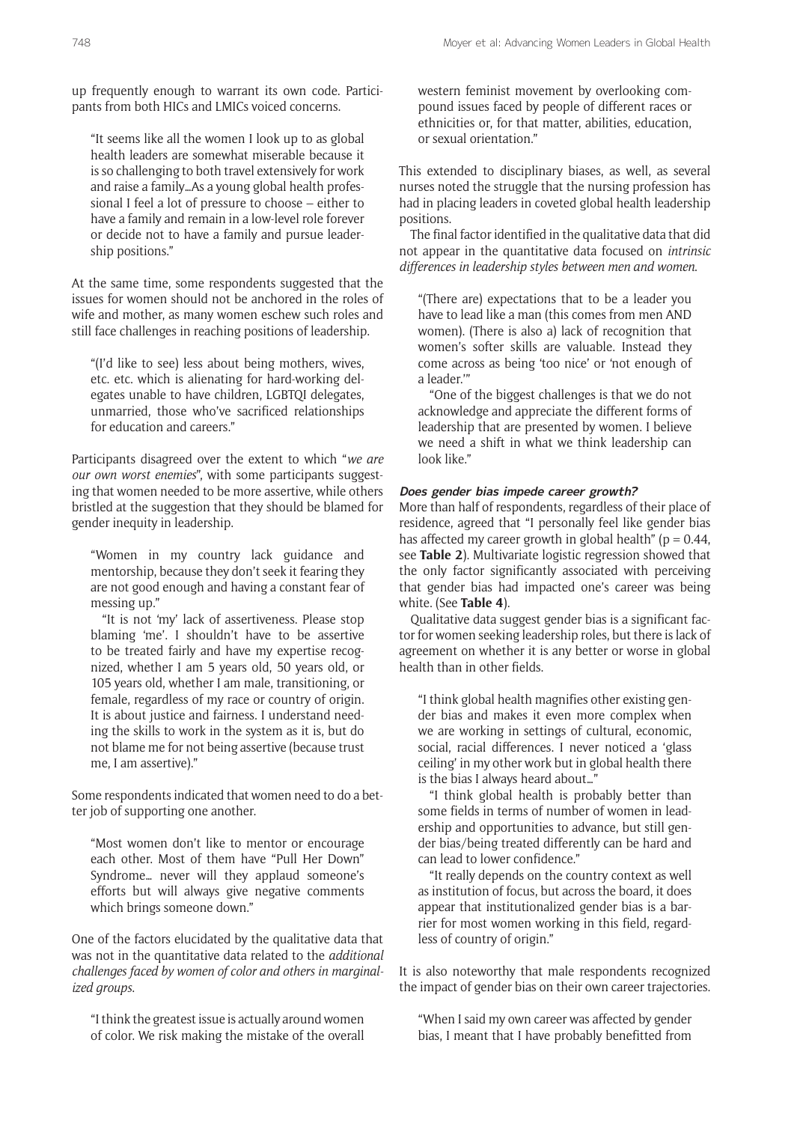up frequently enough to warrant its own code. Participants from both HICs and LMICs voiced concerns.

"It seems like all the women I look up to as global health leaders are somewhat miserable because it is so challenging to both travel extensively for work and raise a family…As a young global health professional I feel a lot of pressure to choose – either to have a family and remain in a low-level role forever or decide not to have a family and pursue leadership positions."

At the same time, some respondents suggested that the issues for women should not be anchored in the roles of wife and mother, as many women eschew such roles and still face challenges in reaching positions of leadership.

"(I'd like to see) less about being mothers, wives, etc. etc. which is alienating for hard-working delegates unable to have children, LGBTQI delegates, unmarried, those who've sacrificed relationships for education and careers."

Participants disagreed over the extent to which "*we are our own worst enemies*", with some participants suggesting that women needed to be more assertive, while others bristled at the suggestion that they should be blamed for gender inequity in leadership.

"Women in my country lack guidance and mentorship, because they don't seek it fearing they are not good enough and having a constant fear of messing up."

"It is not 'my' lack of assertiveness. Please stop blaming 'me'. I shouldn't have to be assertive to be treated fairly and have my expertise recognized, whether I am 5 years old, 50 years old, or 105 years old, whether I am male, transitioning, or female, regardless of my race or country of origin. It is about justice and fairness. I understand needing the skills to work in the system as it is, but do not blame me for not being assertive (because trust me, I am assertive)."

Some respondents indicated that women need to do a better job of supporting one another.

"Most women don't like to mentor or encourage each other. Most of them have "Pull Her Down" Syndrome… never will they applaud someone's efforts but will always give negative comments which brings someone down."

One of the factors elucidated by the qualitative data that was not in the quantitative data related to the *additional challenges faced by women of color and others in marginalized groups*.

"I think the greatest issue is actually around women of color. We risk making the mistake of the overall

western feminist movement by overlooking compound issues faced by people of different races or ethnicities or, for that matter, abilities, education, or sexual orientation."

This extended to disciplinary biases, as well, as several nurses noted the struggle that the nursing profession has had in placing leaders in coveted global health leadership positions.

The final factor identified in the qualitative data that did not appear in the quantitative data focused on *intrinsic differences in leadership styles between men and women*.

"(There are) expectations that to be a leader you have to lead like a man (this comes from men AND women). (There is also a) lack of recognition that women's softer skills are valuable. Instead they come across as being 'too nice' or 'not enough of a leader.'"

"One of the biggest challenges is that we do not acknowledge and appreciate the different forms of leadership that are presented by women. I believe we need a shift in what we think leadership can look like."

# **Does gender bias impede career growth?**

More than half of respondents, regardless of their place of residence, agreed that "I personally feel like gender bias has affected my career growth in global health" ( $p = 0.44$ , see **Table 2**). Multivariate logistic regression showed that the only factor significantly associated with perceiving that gender bias had impacted one's career was being white. (See **Table 4**).

Qualitative data suggest gender bias is a significant factor for women seeking leadership roles, but there is lack of agreement on whether it is any better or worse in global health than in other fields.

"I think global health magnifies other existing gender bias and makes it even more complex when we are working in settings of cultural, economic, social, racial differences. I never noticed a 'glass ceiling' in my other work but in global health there is the bias I always heard about…"

"I think global health is probably better than some fields in terms of number of women in leadership and opportunities to advance, but still gender bias/being treated differently can be hard and can lead to lower confidence."

"It really depends on the country context as well as institution of focus, but across the board, it does appear that institutionalized gender bias is a barrier for most women working in this field, regardless of country of origin."

It is also noteworthy that male respondents recognized the impact of gender bias on their own career trajectories.

"When I said my own career was affected by gender bias, I meant that I have probably benefitted from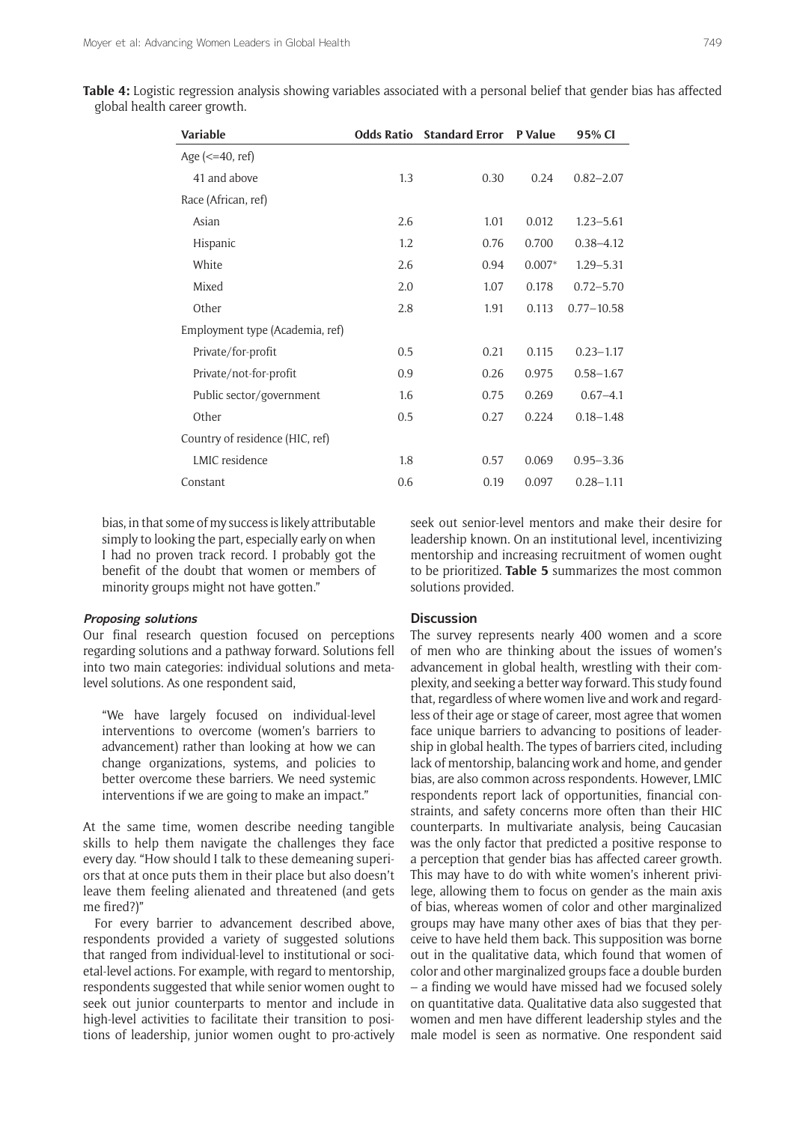| Table 4: Logistic regression analysis showing variables associated with a personal belief that gender bias has affected |  |  |  |  |
|-------------------------------------------------------------------------------------------------------------------------|--|--|--|--|
| global health career growth.                                                                                            |  |  |  |  |

| <b>Variable</b>                         |     | <b>Odds Ratio</b> Standard Error P Value |          | 95% CI         |
|-----------------------------------------|-----|------------------------------------------|----------|----------------|
| Age $\left( \le 40, \text{ref} \right)$ |     |                                          |          |                |
| 41 and above                            | 1.3 | 0.30                                     | 0.24     | $0.82 - 2.07$  |
| Race (African, ref)                     |     |                                          |          |                |
| Asian                                   | 2.6 | 1.01                                     | 0.012    | $1.23 - 5.61$  |
| Hispanic                                | 1.2 | 0.76                                     | 0.700    | $0.38 - 4.12$  |
| White                                   | 2.6 | 0.94                                     | $0.007*$ | $1.29 - 5.31$  |
| Mixed                                   | 2.0 | 1.07                                     | 0.178    | $0.72 - 5.70$  |
| Other                                   | 2.8 | 1.91                                     | 0.113    | $0.77 - 10.58$ |
| Employment type (Academia, ref)         |     |                                          |          |                |
| Private/for-profit                      | 0.5 | 0.21                                     | 0.115    | $0.23 - 1.17$  |
| Private/not-for-profit                  | 0.9 | 0.26                                     | 0.975    | $0.58 - 1.67$  |
| Public sector/government                | 1.6 | 0.75                                     | 0.269    | $0.67 - 4.1$   |
| Other                                   | 0.5 | 0.27                                     | 0.224    | $0.18 - 1.48$  |
| Country of residence (HIC, ref)         |     |                                          |          |                |
| LMIC residence                          | 1.8 | 0.57                                     | 0.069    | $0.95 - 3.36$  |
| Constant                                | 0.6 | 0.19                                     | 0.097    | $0.28 - 1.11$  |

bias, in that some of my success is likely attributable simply to looking the part, especially early on when I had no proven track record. I probably got the benefit of the doubt that women or members of minority groups might not have gotten."

#### **Proposing solutions**

Our final research question focused on perceptions regarding solutions and a pathway forward. Solutions fell into two main categories: individual solutions and metalevel solutions. As one respondent said,

"We have largely focused on individual-level interventions to overcome (women's barriers to advancement) rather than looking at how we can change organizations, systems, and policies to better overcome these barriers. We need systemic interventions if we are going to make an impact."

At the same time, women describe needing tangible skills to help them navigate the challenges they face every day. "How should I talk to these demeaning superiors that at once puts them in their place but also doesn't leave them feeling alienated and threatened (and gets me fired?)"

For every barrier to advancement described above, respondents provided a variety of suggested solutions that ranged from individual-level to institutional or societal-level actions. For example, with regard to mentorship, respondents suggested that while senior women ought to seek out junior counterparts to mentor and include in high-level activities to facilitate their transition to positions of leadership, junior women ought to pro-actively seek out senior-level mentors and make their desire for leadership known. On an institutional level, incentivizing mentorship and increasing recruitment of women ought to be prioritized. **Table 5** summarizes the most common solutions provided.

## **Discussion**

The survey represents nearly 400 women and a score of men who are thinking about the issues of women's advancement in global health, wrestling with their complexity, and seeking a better way forward. This study found that, regardless of where women live and work and regardless of their age or stage of career, most agree that women face unique barriers to advancing to positions of leadership in global health. The types of barriers cited, including lack of mentorship, balancing work and home, and gender bias, are also common across respondents. However, LMIC respondents report lack of opportunities, financial constraints, and safety concerns more often than their HIC counterparts. In multivariate analysis, being Caucasian was the only factor that predicted a positive response to a perception that gender bias has affected career growth. This may have to do with white women's inherent privilege, allowing them to focus on gender as the main axis of bias, whereas women of color and other marginalized groups may have many other axes of bias that they perceive to have held them back. This supposition was borne out in the qualitative data, which found that women of color and other marginalized groups face a double burden – a finding we would have missed had we focused solely on quantitative data. Qualitative data also suggested that women and men have different leadership styles and the male model is seen as normative. One respondent said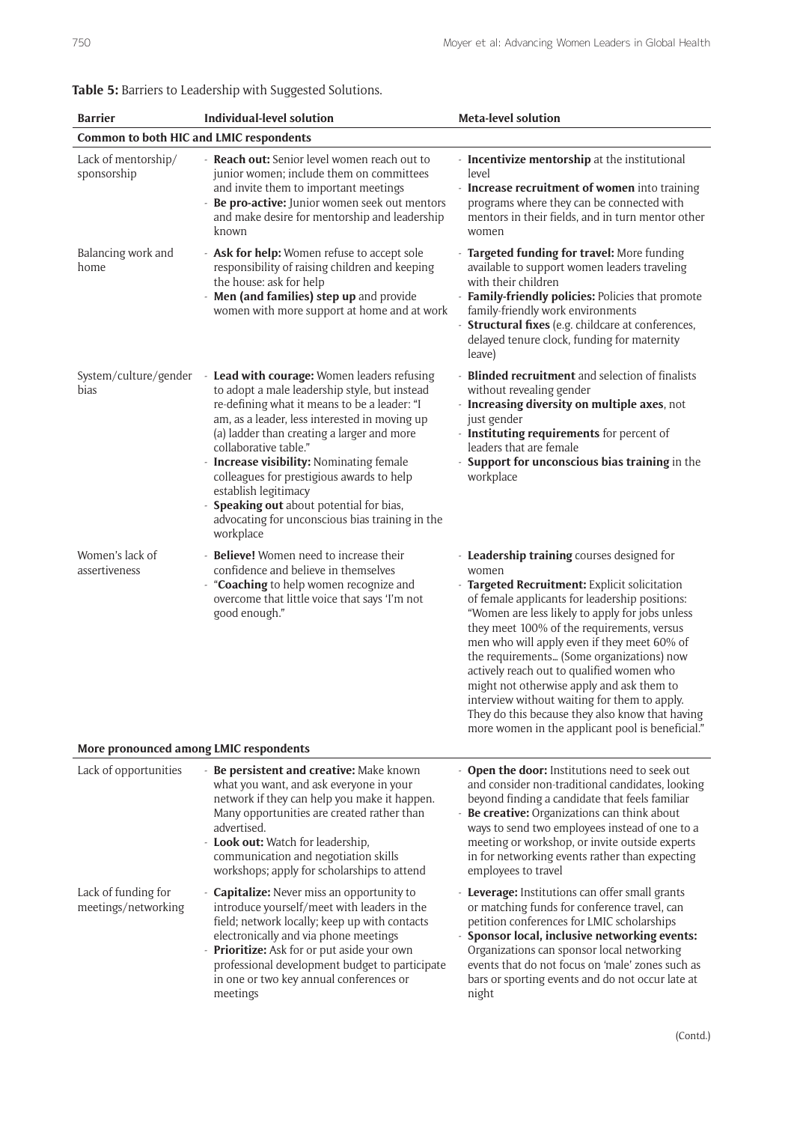| <b>Barrier</b>                                                             | <b>Individual-level solution</b>                                                                                                                                                                                                                                                                                                                                                                                                                                                                     | <b>Meta-level solution</b>                                                                                                                                                                                                                                                                                                                                                                                                                                                                                                                                                                           |  |  |  |  |  |
|----------------------------------------------------------------------------|------------------------------------------------------------------------------------------------------------------------------------------------------------------------------------------------------------------------------------------------------------------------------------------------------------------------------------------------------------------------------------------------------------------------------------------------------------------------------------------------------|------------------------------------------------------------------------------------------------------------------------------------------------------------------------------------------------------------------------------------------------------------------------------------------------------------------------------------------------------------------------------------------------------------------------------------------------------------------------------------------------------------------------------------------------------------------------------------------------------|--|--|--|--|--|
| Common to both HIC and LMIC respondents                                    |                                                                                                                                                                                                                                                                                                                                                                                                                                                                                                      |                                                                                                                                                                                                                                                                                                                                                                                                                                                                                                                                                                                                      |  |  |  |  |  |
| Lack of mentorship/<br>sponsorship                                         | - Reach out: Senior level women reach out to<br>junior women; include them on committees<br>and invite them to important meetings<br>Be pro-active: Junior women seek out mentors<br>and make desire for mentorship and leadership<br>known                                                                                                                                                                                                                                                          | - Incentivize mentorship at the institutional<br>level<br>- Increase recruitment of women into training<br>programs where they can be connected with<br>mentors in their fields, and in turn mentor other<br>women                                                                                                                                                                                                                                                                                                                                                                                   |  |  |  |  |  |
| Balancing work and<br>home                                                 | - Ask for help: Women refuse to accept sole<br>responsibility of raising children and keeping<br>the house: ask for help<br>Men (and families) step up and provide<br>women with more support at home and at work                                                                                                                                                                                                                                                                                    | - Targeted funding for travel: More funding<br>available to support women leaders traveling<br>with their children<br>- Family-friendly policies: Policies that promote<br>family-friendly work environments<br>- Structural fixes (e.g. childcare at conferences,<br>delayed tenure clock, funding for maternity<br>leave)                                                                                                                                                                                                                                                                          |  |  |  |  |  |
| System/culture/gender<br>bias                                              | - Lead with courage: Women leaders refusing<br>to adopt a male leadership style, but instead<br>re-defining what it means to be a leader: "I<br>am, as a leader, less interested in moving up<br>(a) ladder than creating a larger and more<br>collaborative table."<br><b>Increase visibility: Nominating female</b><br>colleagues for prestigious awards to help<br>establish legitimacy<br>Speaking out about potential for bias,<br>advocating for unconscious bias training in the<br>workplace | - Blinded recruitment and selection of finalists<br>without revealing gender<br>- Increasing diversity on multiple axes, not<br>just gender<br>- Instituting requirements for percent of<br>leaders that are female<br>- Support for unconscious bias training in the<br>workplace                                                                                                                                                                                                                                                                                                                   |  |  |  |  |  |
| Women's lack of<br>assertiveness<br>More pronounced among LMIC respondents | Believe! Women need to increase their<br>confidence and believe in themselves<br>"Coaching to help women recognize and<br>÷,<br>overcome that little voice that says 'I'm not<br>good enough."                                                                                                                                                                                                                                                                                                       | - Leadership training courses designed for<br>women<br>- Targeted Recruitment: Explicit solicitation<br>of female applicants for leadership positions:<br>"Women are less likely to apply for jobs unless<br>they meet 100% of the requirements, versus<br>men who will apply even if they meet 60% of<br>the requirements (Some organizations) now<br>actively reach out to qualified women who<br>might not otherwise apply and ask them to<br>interview without waiting for them to apply.<br>They do this because they also know that having<br>more women in the applicant pool is beneficial." |  |  |  |  |  |
|                                                                            |                                                                                                                                                                                                                                                                                                                                                                                                                                                                                                      |                                                                                                                                                                                                                                                                                                                                                                                                                                                                                                                                                                                                      |  |  |  |  |  |
| Lack of opportunities                                                      | Be persistent and creative: Make known<br>what you want, and ask everyone in your<br>network if they can help you make it happen.<br>Many opportunities are created rather than<br>advertised.<br><b>Look out:</b> Watch for leadership,<br>communication and negotiation skills<br>workshops; apply for scholarships to attend                                                                                                                                                                      | - Open the door: Institutions need to seek out<br>and consider non-traditional candidates, looking<br>beyond finding a candidate that feels familiar<br>- Be creative: Organizations can think about<br>ways to send two employees instead of one to a<br>meeting or workshop, or invite outside experts<br>in for networking events rather than expecting<br>employees to travel                                                                                                                                                                                                                    |  |  |  |  |  |
| Lack of funding for<br>meetings/networking                                 | <b>Capitalize:</b> Never miss an opportunity to<br>introduce yourself/meet with leaders in the<br>field; network locally; keep up with contacts<br>electronically and via phone meetings<br>Prioritize: Ask for or put aside your own<br>professional development budget to participate<br>in one or two key annual conferences or<br>meetings                                                                                                                                                       | - Leverage: Institutions can offer small grants<br>or matching funds for conference travel, can<br>petition conferences for LMIC scholarships<br>- Sponsor local, inclusive networking events:<br>Organizations can sponsor local networking<br>events that do not focus on 'male' zones such as<br>bars or sporting events and do not occur late at<br>night                                                                                                                                                                                                                                        |  |  |  |  |  |

# **Table 5:** Barriers to Leadership with Suggested Solutions.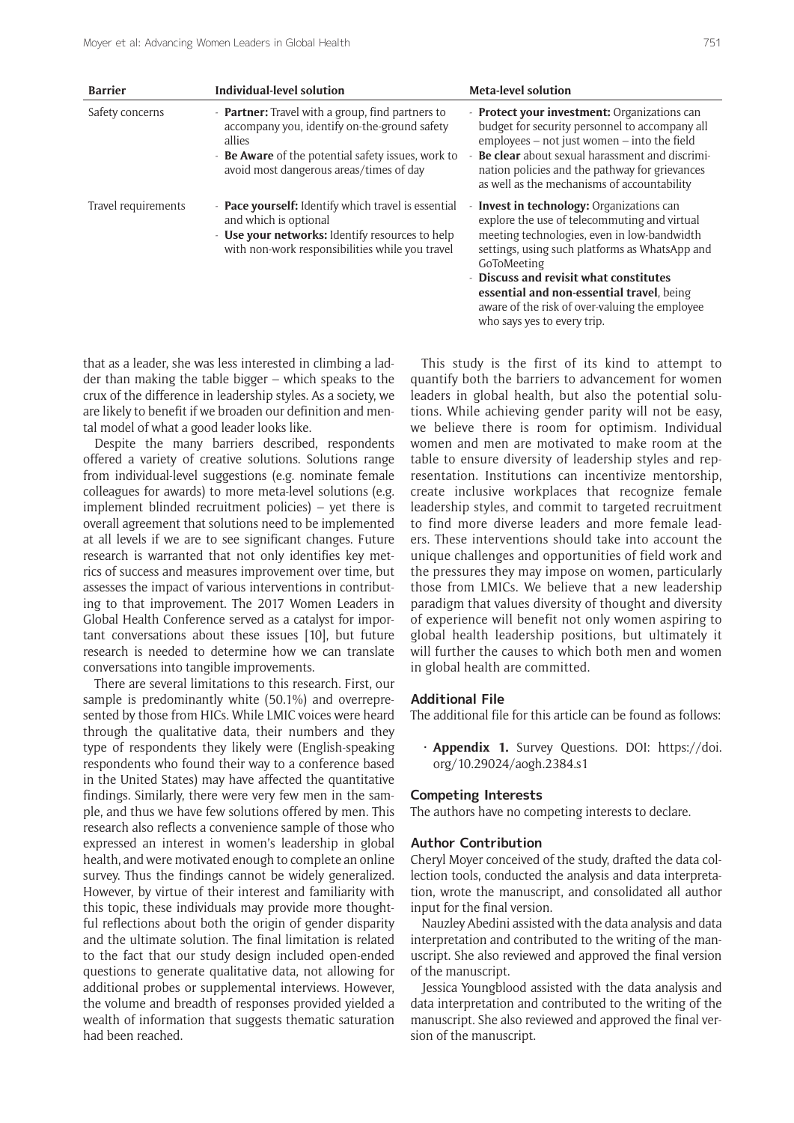| <b>Barrier</b>      | Individual-level solution                                                                                                                                                                                          | <b>Meta-level solution</b>                                                                                                                                                                                                                                                                                                                                                             |
|---------------------|--------------------------------------------------------------------------------------------------------------------------------------------------------------------------------------------------------------------|----------------------------------------------------------------------------------------------------------------------------------------------------------------------------------------------------------------------------------------------------------------------------------------------------------------------------------------------------------------------------------------|
| Safety concerns     | - <b>Partner:</b> Travel with a group, find partners to<br>accompany you, identify on-the-ground safety<br>allies<br>- Be Aware of the potential safety issues, work to<br>avoid most dangerous areas/times of day | - Protect your investment: Organizations can<br>budget for security personnel to accompany all<br>employees - not just women - into the field<br><b>Be clear</b> about sexual harassment and discrimi-<br>nation policies and the pathway for grievances<br>as well as the mechanisms of accountability                                                                                |
| Travel requirements | - Pace yourself: Identify which travel is essential<br>and which is optional<br>- Use your networks: Identify resources to help<br>with non-work responsibilities while you travel                                 | <b>Invest in technology: Organizations can</b><br>explore the use of telecommuting and virtual<br>meeting technologies, even in low-bandwidth<br>settings, using such platforms as WhatsApp and<br>GoToMeeting<br>- Discuss and revisit what constitutes<br>essential and non-essential travel, being<br>aware of the risk of over-valuing the employee<br>who says yes to every trip. |

that as a leader, she was less interested in climbing a ladder than making the table bigger – which speaks to the crux of the difference in leadership styles. As a society, we are likely to benefit if we broaden our definition and mental model of what a good leader looks like.

Despite the many barriers described, respondents offered a variety of creative solutions. Solutions range from individual-level suggestions (e.g. nominate female colleagues for awards) to more meta-level solutions (e.g. implement blinded recruitment policies) – yet there is overall agreement that solutions need to be implemented at all levels if we are to see significant changes. Future research is warranted that not only identifies key metrics of success and measures improvement over time, but assesses the impact of various interventions in contributing to that improvement. The 2017 Women Leaders in Global Health Conference served as a catalyst for important conversations about these issues [10], but future research is needed to determine how we can translate conversations into tangible improvements.

There are several limitations to this research. First, our sample is predominantly white (50.1%) and overrepresented by those from HICs. While LMIC voices were heard through the qualitative data, their numbers and they type of respondents they likely were (English-speaking respondents who found their way to a conference based in the United States) may have affected the quantitative findings. Similarly, there were very few men in the sample, and thus we have few solutions offered by men. This research also reflects a convenience sample of those who expressed an interest in women's leadership in global health, and were motivated enough to complete an online survey. Thus the findings cannot be widely generalized. However, by virtue of their interest and familiarity with this topic, these individuals may provide more thoughtful reflections about both the origin of gender disparity and the ultimate solution. The final limitation is related to the fact that our study design included open-ended questions to generate qualitative data, not allowing for additional probes or supplemental interviews. However, the volume and breadth of responses provided yielded a wealth of information that suggests thematic saturation had been reached.

This study is the first of its kind to attempt to quantify both the barriers to advancement for women leaders in global health, but also the potential solutions. While achieving gender parity will not be easy, we believe there is room for optimism. Individual women and men are motivated to make room at the table to ensure diversity of leadership styles and representation. Institutions can incentivize mentorship, create inclusive workplaces that recognize female leadership styles, and commit to targeted recruitment to find more diverse leaders and more female leaders. These interventions should take into account the unique challenges and opportunities of field work and the pressures they may impose on women, particularly those from LMICs. We believe that a new leadership paradigm that values diversity of thought and diversity of experience will benefit not only women aspiring to global health leadership positions, but ultimately it will further the causes to which both men and women in global health are committed.

#### **Additional File**

The additional file for this article can be found as follows:

Appendix 1. Survey Questions. DOI: [https://doi.](https://doi.org/10.29024/aogh.2384.s1) [org/10.29024/aogh.2384.s1](https://doi.org/10.29024/aogh.2384.s1)

#### **Competing Interests**

The authors have no competing interests to declare.

#### **Author Contribution**

Cheryl Moyer conceived of the study, drafted the data collection tools, conducted the analysis and data interpretation, wrote the manuscript, and consolidated all author input for the final version.

Nauzley Abedini assisted with the data analysis and data interpretation and contributed to the writing of the manuscript. She also reviewed and approved the final version of the manuscript.

Jessica Youngblood assisted with the data analysis and data interpretation and contributed to the writing of the manuscript. She also reviewed and approved the final version of the manuscript.